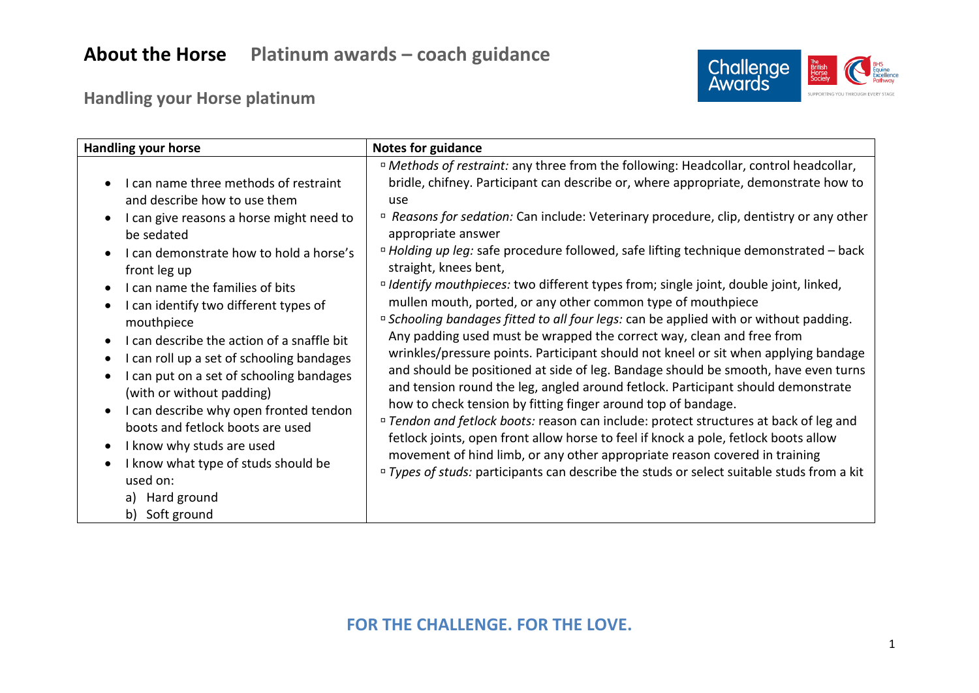# **About the Horse Platinum awards – coach guidance**



## **Handling your Horse platinum**

| <b>Handling your horse</b>                                                                                                                                                                                                                                                                                                                                                                                                                                                                                                                                                                                                                                 | <b>Notes for guidance</b>                                                                                                                                                                                                                                                                                                                                                                                                                                                                                                                                                                                                                                                                                                                                                                                                                                                                                                                                                                                                                                                                                                                                                                                                                                                                                                                                                                                                                                            |
|------------------------------------------------------------------------------------------------------------------------------------------------------------------------------------------------------------------------------------------------------------------------------------------------------------------------------------------------------------------------------------------------------------------------------------------------------------------------------------------------------------------------------------------------------------------------------------------------------------------------------------------------------------|----------------------------------------------------------------------------------------------------------------------------------------------------------------------------------------------------------------------------------------------------------------------------------------------------------------------------------------------------------------------------------------------------------------------------------------------------------------------------------------------------------------------------------------------------------------------------------------------------------------------------------------------------------------------------------------------------------------------------------------------------------------------------------------------------------------------------------------------------------------------------------------------------------------------------------------------------------------------------------------------------------------------------------------------------------------------------------------------------------------------------------------------------------------------------------------------------------------------------------------------------------------------------------------------------------------------------------------------------------------------------------------------------------------------------------------------------------------------|
| I can name three methods of restraint<br>and describe how to use them<br>I can give reasons a horse might need to<br>be sedated<br>I can demonstrate how to hold a horse's<br>front leg up<br>I can name the families of bits<br>I can identify two different types of<br>mouthpiece<br>I can describe the action of a snaffle bit<br>I can roll up a set of schooling bandages<br>I can put on a set of schooling bandages<br>(with or without padding)<br>I can describe why open fronted tendon<br>boots and fetlock boots are used<br>I know why studs are used<br>I know what type of studs should be<br>used on:<br>a) Hard ground<br>b) Soft ground | " Methods of restraint: any three from the following: Headcollar, control headcollar,<br>bridle, chifney. Participant can describe or, where appropriate, demonstrate how to<br>use<br>" Reasons for sedation: Can include: Veterinary procedure, clip, dentistry or any other<br>appropriate answer<br>" Holding up leg: safe procedure followed, safe lifting technique demonstrated - back<br>straight, knees bent,<br><sup>D</sup> Identify mouthpieces: two different types from; single joint, double joint, linked,<br>mullen mouth, ported, or any other common type of mouthpiece<br>" Schooling bandages fitted to all four legs: can be applied with or without padding.<br>Any padding used must be wrapped the correct way, clean and free from<br>wrinkles/pressure points. Participant should not kneel or sit when applying bandage<br>and should be positioned at side of leg. Bandage should be smooth, have even turns<br>and tension round the leg, angled around fetlock. Participant should demonstrate<br>how to check tension by fitting finger around top of bandage.<br><sup>n</sup> Tendon and fetlock boots: reason can include: protect structures at back of leg and<br>fetlock joints, open front allow horse to feel if knock a pole, fetlock boots allow<br>movement of hind limb, or any other appropriate reason covered in training<br>" Types of studs: participants can describe the studs or select suitable studs from a kit |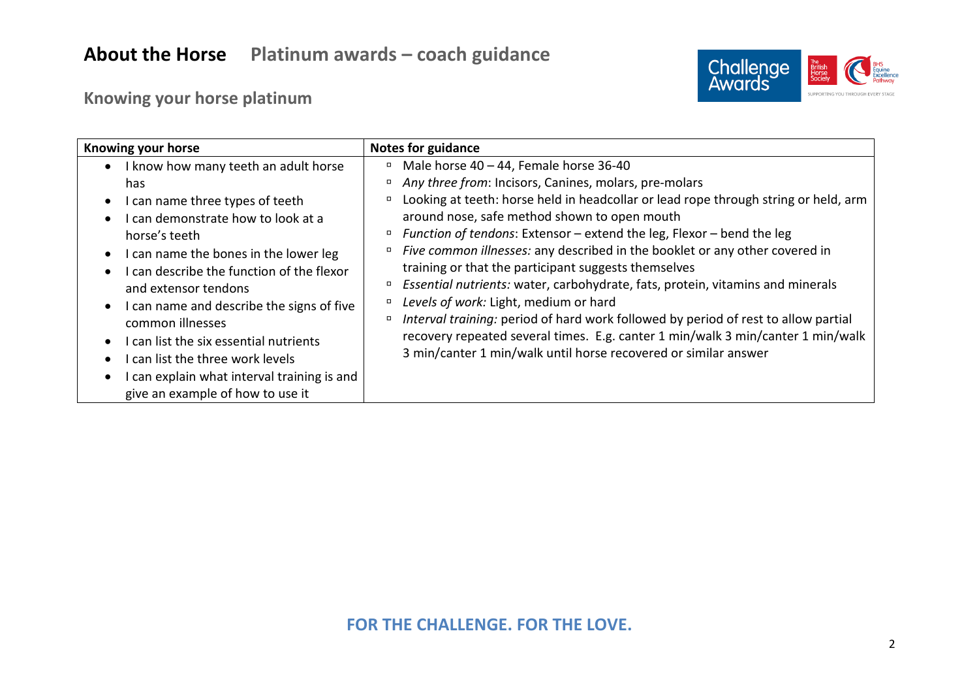

## **Knowing your horse platinum**

| Knowing your horse                                                                                                                                                                                                                                                                                                                                                                                                                                                                       | <b>Notes for guidance</b>                                                                                                                                                                                                                                                                                                                                                                                                                                                                                                                                                                                                                                                                                                                                                                                                                                                |
|------------------------------------------------------------------------------------------------------------------------------------------------------------------------------------------------------------------------------------------------------------------------------------------------------------------------------------------------------------------------------------------------------------------------------------------------------------------------------------------|--------------------------------------------------------------------------------------------------------------------------------------------------------------------------------------------------------------------------------------------------------------------------------------------------------------------------------------------------------------------------------------------------------------------------------------------------------------------------------------------------------------------------------------------------------------------------------------------------------------------------------------------------------------------------------------------------------------------------------------------------------------------------------------------------------------------------------------------------------------------------|
| I know how many teeth an adult horse<br>has.<br>I can name three types of teeth<br>I can demonstrate how to look at a<br>horse's teeth<br>• I can name the bones in the lower leg<br>I can describe the function of the flexor<br>and extensor tendons<br>I can name and describe the signs of five<br>common illnesses<br>I can list the six essential nutrients<br>I can list the three work levels<br>I can explain what interval training is and<br>give an example of how to use it | Male horse $40 - 44$ , Female horse 36-40<br>$\Box$<br>Any three from: Incisors, Canines, molars, pre-molars<br>$\Box$<br>Looking at teeth: horse held in headcollar or lead rope through string or held, arm<br>around nose, safe method shown to open mouth<br>Function of tendons: Extensor - extend the leg, Flexor - bend the leg<br>$\Box$<br>Five common illnesses: any described in the booklet or any other covered in<br>training or that the participant suggests themselves<br>Essential nutrients: water, carbohydrate, fats, protein, vitamins and minerals<br>Levels of work: Light, medium or hard<br>Interval training: period of hard work followed by period of rest to allow partial<br>$\Box$<br>recovery repeated several times. E.g. canter 1 min/walk 3 min/canter 1 min/walk<br>3 min/canter 1 min/walk until horse recovered or similar answer |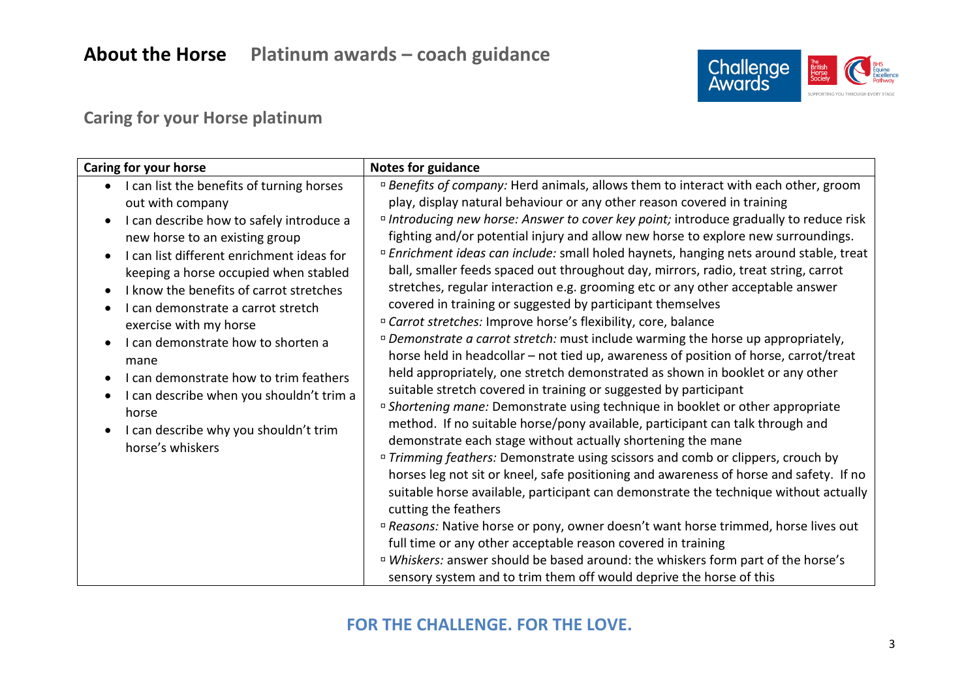

## **Caring for your Horse platinum**

| Caring for your horse                                                                                                                                                                                                                                                                                                                                                                                                                                                                                                                                                                                                                             | <b>Notes for guidance</b>                                                                                                                                                                                                                                                                                                                                                                                                                                                                                                                                                                                                                                                                                                                                                                                                                                                                                                                                                                                                                                                                                                                                                                                                                                                                                                                                                                                                                                                                                                                                                                                                                                                                                                                                                                                                                                                                                                                                                                                                  |
|---------------------------------------------------------------------------------------------------------------------------------------------------------------------------------------------------------------------------------------------------------------------------------------------------------------------------------------------------------------------------------------------------------------------------------------------------------------------------------------------------------------------------------------------------------------------------------------------------------------------------------------------------|----------------------------------------------------------------------------------------------------------------------------------------------------------------------------------------------------------------------------------------------------------------------------------------------------------------------------------------------------------------------------------------------------------------------------------------------------------------------------------------------------------------------------------------------------------------------------------------------------------------------------------------------------------------------------------------------------------------------------------------------------------------------------------------------------------------------------------------------------------------------------------------------------------------------------------------------------------------------------------------------------------------------------------------------------------------------------------------------------------------------------------------------------------------------------------------------------------------------------------------------------------------------------------------------------------------------------------------------------------------------------------------------------------------------------------------------------------------------------------------------------------------------------------------------------------------------------------------------------------------------------------------------------------------------------------------------------------------------------------------------------------------------------------------------------------------------------------------------------------------------------------------------------------------------------------------------------------------------------------------------------------------------------|
| I can list the benefits of turning horses<br>$\bullet$<br>out with company<br>I can describe how to safely introduce a<br>$\bullet$<br>new horse to an existing group<br>I can list different enrichment ideas for<br>$\bullet$<br>keeping a horse occupied when stabled<br>I know the benefits of carrot stretches<br>$\bullet$<br>I can demonstrate a carrot stretch<br>$\bullet$<br>exercise with my horse<br>I can demonstrate how to shorten a<br>$\bullet$<br>mane<br>I can demonstrate how to trim feathers<br>$\bullet$<br>I can describe when you shouldn't trim a<br>horse<br>I can describe why you shouldn't trim<br>horse's whiskers | <sup>n</sup> Benefits of company: Herd animals, allows them to interact with each other, groom<br>play, display natural behaviour or any other reason covered in training<br><sup>D</sup> Introducing new horse: Answer to cover key point; introduce gradually to reduce risk<br>fighting and/or potential injury and allow new horse to explore new surroundings.<br><sup>D</sup> Enrichment ideas can include: small holed haynets, hanging nets around stable, treat<br>ball, smaller feeds spaced out throughout day, mirrors, radio, treat string, carrot<br>stretches, regular interaction e.g. grooming etc or any other acceptable answer<br>covered in training or suggested by participant themselves<br><sup>D</sup> Carrot stretches: Improve horse's flexibility, core, balance<br><sup>n</sup> Demonstrate a carrot stretch: must include warming the horse up appropriately,<br>horse held in headcollar - not tied up, awareness of position of horse, carrot/treat<br>held appropriately, one stretch demonstrated as shown in booklet or any other<br>suitable stretch covered in training or suggested by participant<br><sup>D</sup> Shortening mane: Demonstrate using technique in booklet or other appropriate<br>method. If no suitable horse/pony available, participant can talk through and<br>demonstrate each stage without actually shortening the mane<br><sup>D</sup> Trimming feathers: Demonstrate using scissors and comb or clippers, crouch by<br>horses leg not sit or kneel, safe positioning and awareness of horse and safety. If no<br>suitable horse available, participant can demonstrate the technique without actually<br>cutting the feathers<br><sup>n</sup> Reasons: Native horse or pony, owner doesn't want horse trimmed, horse lives out<br>full time or any other acceptable reason covered in training<br>¤ Whiskers: answer should be based around: the whiskers form part of the horse's<br>sensory system and to trim them off would deprive the horse of this |

#### **FOR THE CHALLENGE. FOR THE LOVE.**